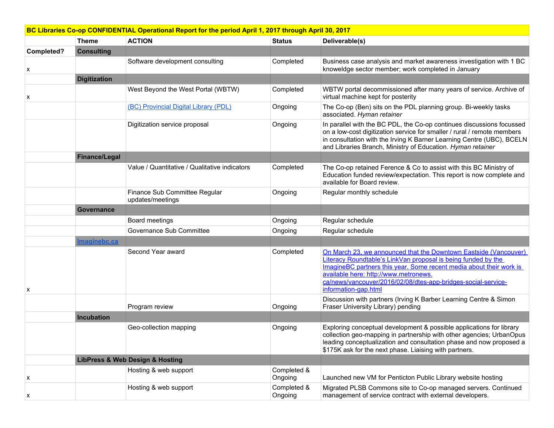| BC Libraries Co-op CONFIDENTIAL Operational Report for the period April 1, 2017 through April 30, 2017 |                      |                                                   |                        |                                                                                                                                                                                                                                                                                                                                            |  |
|--------------------------------------------------------------------------------------------------------|----------------------|---------------------------------------------------|------------------------|--------------------------------------------------------------------------------------------------------------------------------------------------------------------------------------------------------------------------------------------------------------------------------------------------------------------------------------------|--|
|                                                                                                        | <b>Theme</b>         | <b>ACTION</b>                                     | <b>Status</b>          | Deliverable(s)                                                                                                                                                                                                                                                                                                                             |  |
| Completed?                                                                                             | <b>Consulting</b>    |                                                   |                        |                                                                                                                                                                                                                                                                                                                                            |  |
| х                                                                                                      |                      | Software development consulting                   | Completed              | Business case analysis and market awareness investigation with 1 BC<br>knoweldge sector member; work completed in January                                                                                                                                                                                                                  |  |
|                                                                                                        | <b>Digitization</b>  |                                                   |                        |                                                                                                                                                                                                                                                                                                                                            |  |
| x                                                                                                      |                      | West Beyond the West Portal (WBTW)                | Completed              | WBTW portal decommissioned after many years of service. Archive of<br>virtual machine kept for posterity                                                                                                                                                                                                                                   |  |
|                                                                                                        |                      | (BC) Provincial Digital Library (PDL)             | Ongoing                | The Co-op (Ben) sits on the PDL planning group. Bi-weekly tasks<br>associated. Hyman retainer                                                                                                                                                                                                                                              |  |
|                                                                                                        |                      | Digitization service proposal                     | Ongoing                | In parallel with the BC PDL, the Co-op continues discussions focussed<br>on a low-cost digitization service for smaller / rural / remote members<br>in consultation with the Irving K Barner Learning Centre (UBC), BCELN<br>and Libraries Branch, Ministry of Education. Hyman retainer                                                   |  |
|                                                                                                        | <b>Finance/Legal</b> |                                                   |                        |                                                                                                                                                                                                                                                                                                                                            |  |
|                                                                                                        |                      | Value / Quantitative / Qualitative indicators     | Completed              | The Co-op retained Ference & Co to assist with this BC Ministry of<br>Education funded review/expectation. This report is now complete and<br>available for Board review.                                                                                                                                                                  |  |
|                                                                                                        |                      | Finance Sub Committee Regular<br>updates/meetings | Ongoing                | Regular monthly schedule                                                                                                                                                                                                                                                                                                                   |  |
|                                                                                                        | Governance           |                                                   |                        |                                                                                                                                                                                                                                                                                                                                            |  |
|                                                                                                        |                      | Board meetings                                    | Ongoing                | Regular schedule                                                                                                                                                                                                                                                                                                                           |  |
|                                                                                                        |                      | Governance Sub Committee                          | Ongoing                | Regular schedule                                                                                                                                                                                                                                                                                                                           |  |
|                                                                                                        | Imaginebc.ca         |                                                   |                        |                                                                                                                                                                                                                                                                                                                                            |  |
| x                                                                                                      |                      | Second Year award                                 | Completed              | On March 23, we announced that the Downtown Eastside (Vancouver)<br>Literacy Roundtable's LinkVan proposal is being funded by the<br>ImagineBC partners this year. Some recent media about their work is<br>available here: http://www.metronews.<br>ca/news/vancouver/2016/02/08/dtes-app-bridges-social-service-<br>information-gap.html |  |
|                                                                                                        |                      | Program review                                    | Ongoing                | Discussion with partners (Irving K Barber Learning Centre & Simon<br>Fraser University Library) pending                                                                                                                                                                                                                                    |  |
|                                                                                                        | Incubation           |                                                   |                        |                                                                                                                                                                                                                                                                                                                                            |  |
|                                                                                                        |                      | Geo-collection mapping                            | Ongoing                | Exploring conceptual development & possible applications for library<br>collection geo-mapping in partnership with other agencies; UrbanOpus<br>leading conceptualization and consultation phase and now proposed a<br>\$175K ask for the next phase. Liaising with partners.                                                              |  |
|                                                                                                        |                      | <b>LibPress &amp; Web Design &amp; Hosting</b>    |                        |                                                                                                                                                                                                                                                                                                                                            |  |
| х                                                                                                      |                      | Hosting & web support                             | Completed &<br>Ongoing | Launched new VM for Penticton Public Library website hosting                                                                                                                                                                                                                                                                               |  |
| X                                                                                                      |                      | Hosting & web support                             | Completed &<br>Ongoing | Migrated PLSB Commons site to Co-op managed servers. Continued<br>management of service contract with external developers.                                                                                                                                                                                                                 |  |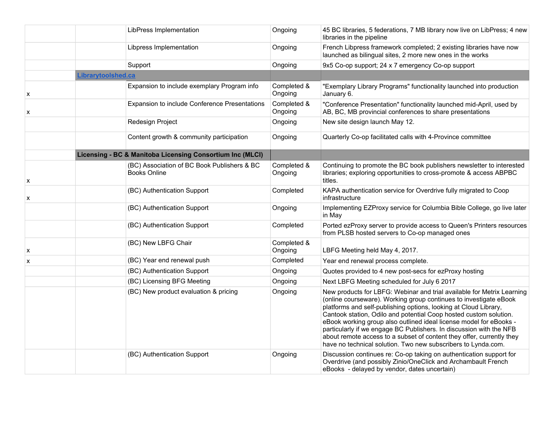|   | LibPress Implementation                                   |                                               | Ongoing                | 45 BC libraries, 5 federations, 7 MB library now live on LibPress; 4 new<br>libraries in the pipeline                                                                                                                                                                                                                                                                                                                                                                                                                                                                       |
|---|-----------------------------------------------------------|-----------------------------------------------|------------------------|-----------------------------------------------------------------------------------------------------------------------------------------------------------------------------------------------------------------------------------------------------------------------------------------------------------------------------------------------------------------------------------------------------------------------------------------------------------------------------------------------------------------------------------------------------------------------------|
|   | Libpress Implementation                                   |                                               | Ongoing                | French Libpress framework completed; 2 existing libraries have now<br>launched as bilingual sites, 2 more new ones in the works                                                                                                                                                                                                                                                                                                                                                                                                                                             |
|   | Support                                                   |                                               | Ongoing                | 9x5 Co-op support; 24 x 7 emergency Co-op support                                                                                                                                                                                                                                                                                                                                                                                                                                                                                                                           |
|   | <b>Librarytoolshed.ca</b>                                 |                                               |                        |                                                                                                                                                                                                                                                                                                                                                                                                                                                                                                                                                                             |
| x |                                                           | Expansion to include exemplary Program info   | Completed &<br>Ongoing | "Exemplary Library Programs" functionality launched into production<br>January 6.                                                                                                                                                                                                                                                                                                                                                                                                                                                                                           |
| X |                                                           | Expansion to include Conference Presentations | Completed &<br>Ongoing | "Conference Presentation" functionality launched mid-April, used by<br>AB, BC, MB provincial conferences to share presentations                                                                                                                                                                                                                                                                                                                                                                                                                                             |
|   | Redesign Project                                          |                                               | Ongoing                | New site design launch May 12.                                                                                                                                                                                                                                                                                                                                                                                                                                                                                                                                              |
|   |                                                           | Content growth & community participation      | Ongoing                | Quarterly Co-op facilitated calls with 4-Province committee                                                                                                                                                                                                                                                                                                                                                                                                                                                                                                                 |
|   | Licensing - BC & Manitoba Licensing Consortium Inc (MLCI) |                                               |                        |                                                                                                                                                                                                                                                                                                                                                                                                                                                                                                                                                                             |
| X | <b>Books Online</b>                                       | (BC) Association of BC Book Publishers & BC   | Completed &<br>Ongoing | Continuing to promote the BC book publishers newsletter to interested<br>libraries; exploring opportunities to cross-promote & access ABPBC<br>titles.                                                                                                                                                                                                                                                                                                                                                                                                                      |
| х | (BC) Authentication Support                               |                                               | Completed              | KAPA authentication service for Overdrive fully migrated to Coop<br>infrastructure                                                                                                                                                                                                                                                                                                                                                                                                                                                                                          |
|   | (BC) Authentication Support                               |                                               | Ongoing                | Implementing EZProxy service for Columbia Bible College, go live later<br>in May                                                                                                                                                                                                                                                                                                                                                                                                                                                                                            |
|   | (BC) Authentication Support                               |                                               | Completed              | Ported ezProxy server to provide access to Queen's Printers resources<br>from PLSB hosted servers to Co-op managed ones                                                                                                                                                                                                                                                                                                                                                                                                                                                     |
| X | (BC) New LBFG Chair                                       |                                               | Completed &<br>Ongoing | LBFG Meeting held May 4, 2017.                                                                                                                                                                                                                                                                                                                                                                                                                                                                                                                                              |
| X | (BC) Year end renewal push                                |                                               | Completed              | Year end renewal process complete.                                                                                                                                                                                                                                                                                                                                                                                                                                                                                                                                          |
|   | (BC) Authentication Support                               |                                               | Ongoing                | Quotes provided to 4 new post-secs for ezProxy hosting                                                                                                                                                                                                                                                                                                                                                                                                                                                                                                                      |
|   | (BC) Licensing BFG Meeting                                |                                               | Ongoing                | Next LBFG Meeting scheduled for July 6 2017                                                                                                                                                                                                                                                                                                                                                                                                                                                                                                                                 |
|   | (BC) New product evaluation & pricing                     |                                               | Ongoing                | New products for LBFG: Webinar and trial available for Metrix Learning<br>(online courseware). Working group continues to investigate eBook<br>platforms and self-publishing options, looking at Cloud Library,<br>Cantook station, Odilo and potential Coop hosted custom solution.<br>eBook working group also outlined ideal license model for eBooks -<br>particularly if we engage BC Publishers. In discussion with the NFB<br>about remote access to a subset of content they offer, currently they<br>have no technical solution. Two new subscribers to Lynda.com. |
|   | (BC) Authentication Support                               |                                               | Ongoing                | Discussion continues re: Co-op taking on authentication support for<br>Overdrive (and possibly Zinio/OneClick and Archambault French<br>eBooks - delayed by vendor, dates uncertain)                                                                                                                                                                                                                                                                                                                                                                                        |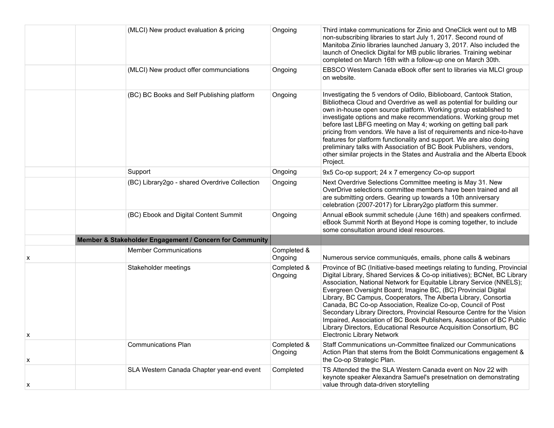|   | (MLCI) New product evaluation & pricing                 | Ongoing                | Third intake communications for Zinio and OneClick went out to MB<br>non-subscribing libraries to start July 1, 2017. Second round of<br>Manitoba Zinio libraries launched January 3, 2017. Also included the<br>launch of Oneclick Digital for MB public libraries. Training webinar<br>completed on March 16th with a follow-up one on March 30th.                                                                                                                                                                                                                                                                                                                                             |
|---|---------------------------------------------------------|------------------------|--------------------------------------------------------------------------------------------------------------------------------------------------------------------------------------------------------------------------------------------------------------------------------------------------------------------------------------------------------------------------------------------------------------------------------------------------------------------------------------------------------------------------------------------------------------------------------------------------------------------------------------------------------------------------------------------------|
|   | (MLCI) New product offer communciations                 | Ongoing                | EBSCO Western Canada eBook offer sent to libraries via MLCI group<br>on website.                                                                                                                                                                                                                                                                                                                                                                                                                                                                                                                                                                                                                 |
|   | (BC) BC Books and Self Publishing platform              | Ongoing                | Investigating the 5 vendors of Odilo, Biblioboard, Cantook Station,<br>Bibliotheca Cloud and Overdrive as well as potential for building our<br>own in-house open source platform. Working group established to<br>investigate options and make recommendations. Working group met<br>before last LBFG meeting on May 4; working on getting ball park<br>pricing from vendors. We have a list of requirements and nice-to-have<br>features for platform functionality and support. We are also doing<br>preliminary talks with Association of BC Book Publishers, vendors,<br>other similar projects in the States and Australia and the Alberta Ebook<br>Project.                               |
|   | Support                                                 | Ongoing                | 9x5 Co-op support; 24 x 7 emergency Co-op support                                                                                                                                                                                                                                                                                                                                                                                                                                                                                                                                                                                                                                                |
|   | (BC) Library2go - shared Overdrive Collection           | Ongoing                | Next Overdrive Selections Committee meeting is May 31. New<br>OverDrive selections committee members have been trained and all<br>are submitting orders. Gearing up towards a 10th anniversary<br>celebration (2007-2017) for Library2go platform this summer.                                                                                                                                                                                                                                                                                                                                                                                                                                   |
|   | (BC) Ebook and Digital Content Summit                   | Ongoing                | Annual eBook summit schedule (June 16th) and speakers confirmed.<br>eBook Summit North at Beyond Hope is coming together, to include<br>some consultation around ideal resources.                                                                                                                                                                                                                                                                                                                                                                                                                                                                                                                |
|   | Member & Stakeholder Engagement / Concern for Community |                        |                                                                                                                                                                                                                                                                                                                                                                                                                                                                                                                                                                                                                                                                                                  |
| х | <b>Member Communications</b>                            | Completed &<br>Ongoing | Numerous service communiqués, emails, phone calls & webinars                                                                                                                                                                                                                                                                                                                                                                                                                                                                                                                                                                                                                                     |
| х | Stakeholder meetings                                    | Completed &<br>Ongoing | Province of BC (Initiative-based meetings relating to funding, Provincial<br>Digital Library, Shared Services & Co-op initiatives); BCNet, BC Library<br>Association, National Network for Equitable Library Service (NNELS);<br>Evergreen Oversight Board; Imagine BC, (BC) Provincial Digital<br>Library, BC Campus, Cooperators, The Alberta Library, Consortia<br>Canada, BC Co-op Association, Realize Co-op, Council of Post<br>Secondary Library Directors, Provincial Resource Centre for the Vision<br>Impaired, Association of BC Book Publishers, Association of BC Public<br>Library Directors, Educational Resource Acquisition Consortium, BC<br><b>Electronic Library Network</b> |
| х | <b>Communications Plan</b>                              | Completed &<br>Ongoing | Staff Communications un-Committee finalized our Communications<br>Action Plan that stems from the Boldt Communications engagement &<br>the Co-op Strategic Plan.                                                                                                                                                                                                                                                                                                                                                                                                                                                                                                                                 |
| х | SLA Western Canada Chapter year-end event               | Completed              | TS Attended the the SLA Western Canada event on Nov 22 with<br>keynote speaker Alexandra Samuel's presetnation on demonstrating<br>value through data-driven storytelling                                                                                                                                                                                                                                                                                                                                                                                                                                                                                                                        |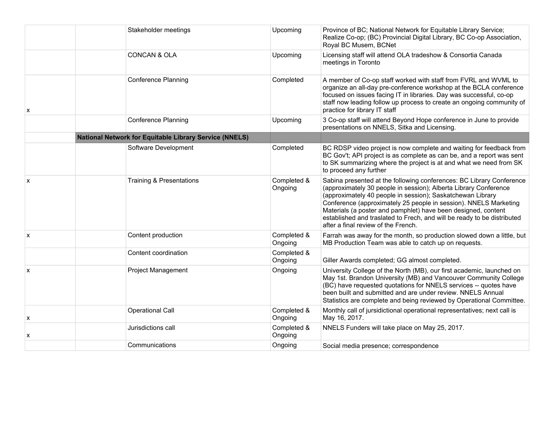|                           | Stakeholder meetings                                          | Upcoming               | Province of BC; National Network for Equitable Library Service;<br>Realize Co-op; (BC) Provincial Digital Library, BC Co-op Association,<br>Royal BC Musem, BCNet                                                                                                                                                                                                                                                                                             |
|---------------------------|---------------------------------------------------------------|------------------------|---------------------------------------------------------------------------------------------------------------------------------------------------------------------------------------------------------------------------------------------------------------------------------------------------------------------------------------------------------------------------------------------------------------------------------------------------------------|
|                           | <b>CONCAN &amp; OLA</b>                                       | Upcoming               | Licensing staff will attend OLA tradeshow & Consortia Canada<br>meetings in Toronto                                                                                                                                                                                                                                                                                                                                                                           |
| X                         | <b>Conference Planning</b>                                    | Completed              | A member of Co-op staff worked with staff from FVRL and WVML to<br>organize an all-day pre-conference workshop at the BCLA conference<br>focused on issues facing IT in libraries. Day was successful, co-op<br>staff now leading follow up process to create an ongoing community of<br>practice for library IT staff                                                                                                                                        |
|                           | <b>Conference Planning</b>                                    | Upcoming               | 3 Co-op staff will attend Beyond Hope conference in June to provide<br>presentations on NNELS, Sitka and Licensing.                                                                                                                                                                                                                                                                                                                                           |
|                           | <b>National Network for Equitable Library Service (NNELS)</b> |                        |                                                                                                                                                                                                                                                                                                                                                                                                                                                               |
|                           | Software Development                                          | Completed              | BC RDSP video project is now complete and waiting for feedback from<br>BC Gov't; API project is as complete as can be, and a report was sent<br>to SK summarizing where the project is at and what we need from SK<br>to proceed any further                                                                                                                                                                                                                  |
| $\boldsymbol{\mathsf{x}}$ | <b>Training &amp; Presentations</b>                           | Completed &<br>Ongoing | Sabina presented at the following conferences: BC Library Conference<br>(approximately 30 people in session); Alberta Library Conference<br>(approximately 40 people in session); Saskatchewan Library<br>Conference (approximately 25 people in session). NNELS Marketing<br>Materials (a poster and pamphlet) have been designed, content<br>established and traslated to Frech, and will be ready to be distributed<br>after a final review of the French. |
| $\boldsymbol{\mathsf{x}}$ | Content production                                            | Completed &<br>Ongoing | Farrah was away for the month, so production slowed down a little, but<br>MB Production Team was able to catch up on requests.                                                                                                                                                                                                                                                                                                                                |
|                           | Content coordination                                          | Completed &<br>Ongoing | Giller Awards completed; GG almost completed.                                                                                                                                                                                                                                                                                                                                                                                                                 |
| X                         | <b>Project Management</b>                                     | Ongoing                | University College of the North (MB), our first academic, launched on<br>May 1st. Brandon University (MB) and Vancouver Community College<br>(BC) have requested quotations for NNELS services -- quotes have<br>been built and submitted and are under review. NNELS Annual<br>Statistics are complete and being reviewed by Operational Committee.                                                                                                          |
| X                         | Operational Call                                              | Completed &<br>Ongoing | Monthly call of jursidictional operational representatives; next call is<br>May 16, 2017.                                                                                                                                                                                                                                                                                                                                                                     |
| x                         | Jurisdictions call                                            | Completed &<br>Ongoing | NNELS Funders will take place on May 25, 2017.                                                                                                                                                                                                                                                                                                                                                                                                                |
|                           | Communications                                                | Ongoing                | Social media presence; correspondence                                                                                                                                                                                                                                                                                                                                                                                                                         |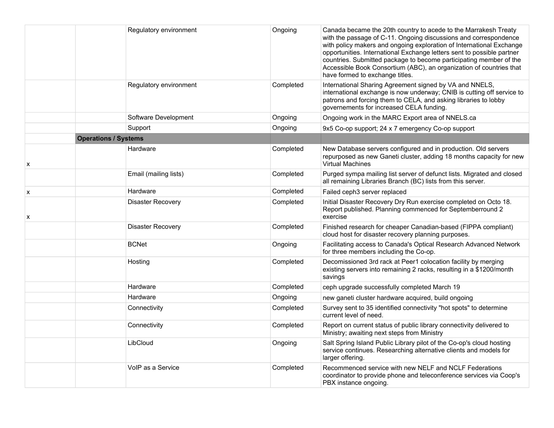|                | Regulatory environment      | Ongoing   | Canada became the 20th country to acede to the Marrakesh Treaty<br>with the passage of C-11. Ongoing discussions and correspondence<br>with policy makers and ongoing exploration of International Exchange<br>opportunities. International Exchange letters sent to possible partner<br>countries. Submitted package to become participating member of the<br>Accessible Book Consortium (ABC), an organization of countries that<br>have formed to exchange titles. |
|----------------|-----------------------------|-----------|-----------------------------------------------------------------------------------------------------------------------------------------------------------------------------------------------------------------------------------------------------------------------------------------------------------------------------------------------------------------------------------------------------------------------------------------------------------------------|
|                | Regulatory environment      | Completed | International Sharing Agreement signed by VA and NNELS,<br>international exchange is now underway; CNIB is cutting off service to<br>patrons and forcing them to CELA, and asking libraries to lobby<br>governements for increased CELA funding.                                                                                                                                                                                                                      |
|                | Software Development        | Ongoing   | Ongoing work in the MARC Export area of NNELS.ca                                                                                                                                                                                                                                                                                                                                                                                                                      |
|                | Support                     | Ongoing   | 9x5 Co-op support; 24 x 7 emergency Co-op support                                                                                                                                                                                                                                                                                                                                                                                                                     |
|                | <b>Operations / Systems</b> |           |                                                                                                                                                                                                                                                                                                                                                                                                                                                                       |
| X              | Hardware                    | Completed | New Database servers configured and in production. Old servers<br>repurposed as new Ganeti cluster, adding 18 months capacity for new<br><b>Virtual Machines</b>                                                                                                                                                                                                                                                                                                      |
|                | Email (mailing lists)       | Completed | Purged sympa mailing list server of defunct lists. Migrated and closed<br>all remaining Libraries Branch (BC) lists from this server.                                                                                                                                                                                                                                                                                                                                 |
| $\pmb{\times}$ | Hardware                    | Completed | Failed ceph3 server replaced                                                                                                                                                                                                                                                                                                                                                                                                                                          |
| х              | <b>Disaster Recovery</b>    | Completed | Initial Disaster Recovery Dry Run exercise completed on Octo 18.<br>Report published. Planning commenced for Septemberround 2<br>exercise                                                                                                                                                                                                                                                                                                                             |
|                | <b>Disaster Recovery</b>    | Completed | Finished research for cheaper Canadian-based (FIPPA compliant)<br>cloud host for disaster recovery planning purposes.                                                                                                                                                                                                                                                                                                                                                 |
|                | <b>BCNet</b>                | Ongoing   | Facilitating access to Canada's Optical Research Advanced Network<br>for three members including the Co-op.                                                                                                                                                                                                                                                                                                                                                           |
|                | Hosting                     | Completed | Decomissioned 3rd rack at Peer1 colocation facility by merging<br>existing servers into remaining 2 racks, resulting in a \$1200/month<br>savings                                                                                                                                                                                                                                                                                                                     |
|                | Hardware                    | Completed | ceph upgrade successfully completed March 19                                                                                                                                                                                                                                                                                                                                                                                                                          |
|                | Hardware                    | Ongoing   | new ganeti cluster hardware acquired, build ongoing                                                                                                                                                                                                                                                                                                                                                                                                                   |
|                | Connectivity                | Completed | Survey sent to 35 identified connectivity "hot spots" to determine<br>current level of need.                                                                                                                                                                                                                                                                                                                                                                          |
|                | Connectivity                | Completed | Report on current status of public library connectivity delivered to<br>Ministry; awaiting next steps from Ministry                                                                                                                                                                                                                                                                                                                                                   |
|                | LibCloud                    | Ongoing   | Salt Spring Island Public Library pilot of the Co-op's cloud hosting<br>service continues. Researching alternative clients and models for<br>larger offering.                                                                                                                                                                                                                                                                                                         |
|                | VolP as a Service           | Completed | Recommenced service with new NELF and NCLF Federations<br>coordinator to provide phone and teleconference services via Coop's<br>PBX instance ongoing.                                                                                                                                                                                                                                                                                                                |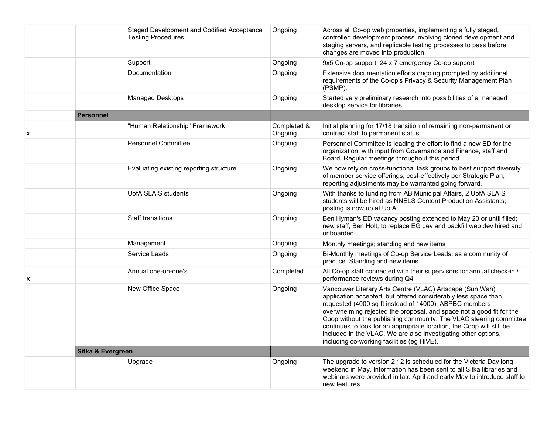|   |                   | Staged Development and Codified Acceptance | Ongoing                | Across all Co-op web properties, implementing a fully staged,                                                                                                                                                                                                                                                                                                                                                                                                                                                               |
|---|-------------------|--------------------------------------------|------------------------|-----------------------------------------------------------------------------------------------------------------------------------------------------------------------------------------------------------------------------------------------------------------------------------------------------------------------------------------------------------------------------------------------------------------------------------------------------------------------------------------------------------------------------|
|   |                   | <b>Testing Procedures</b>                  |                        | controlled development process involving cloned development and<br>staging servers, and replicable testing processes to pass before<br>changes are moved into production.                                                                                                                                                                                                                                                                                                                                                   |
|   |                   | Support                                    | Ongoing                | 9x5 Co-op support; 24 x 7 emergency Co-op support                                                                                                                                                                                                                                                                                                                                                                                                                                                                           |
|   |                   | Documentation                              | Ongoing                | Extensive documentation efforts ongoing prompted by additional<br>requirements of the Co-op's Privacy & Security Management Plan<br>(PSMP).                                                                                                                                                                                                                                                                                                                                                                                 |
|   |                   | Managed Desktops                           | Ongoing                | Started very preliminary research into possibilities of a managed<br>desktop service for libraries.                                                                                                                                                                                                                                                                                                                                                                                                                         |
|   | <b>Personnel</b>  |                                            |                        |                                                                                                                                                                                                                                                                                                                                                                                                                                                                                                                             |
| x |                   | "Human Relationship" Framework             | Completed &<br>Ongoing | Initial planning for 17/18 transition of remaining non-permanent or<br>contract staff to permanent status                                                                                                                                                                                                                                                                                                                                                                                                                   |
|   |                   | <b>Personnel Committee</b>                 | Ongoing                | Personnel Committee is leading the effort to find a new ED for the<br>organization, with input from Governance and Finance, staff and<br>Board. Regular meetings throughout this period                                                                                                                                                                                                                                                                                                                                     |
|   |                   | Evaluating existing reporting structure    | Ongoing                | We now rely on cross-functional task groups to best support diversity<br>of member service offerings, cost-effectively per Strategic Plan;<br>reporting adjustments may be warranted going forward.                                                                                                                                                                                                                                                                                                                         |
|   |                   | <b>UofA SLAIS students</b>                 | Ongoing                | With thanks to funding from AB Municipal Affairs, 2 UofA SLAIS<br>students will be hired as NNELS Content Production Assistants;<br>posting is now up at UofA                                                                                                                                                                                                                                                                                                                                                               |
|   |                   | <b>Staff transitions</b>                   | Ongoing                | Ben Hyman's ED vacancy posting extended to May 23 or until filled;<br>new staff, Ben Holt, to replace EG dev and backfill web dev hired and<br>onboarded.                                                                                                                                                                                                                                                                                                                                                                   |
|   |                   | Management                                 | Ongoing                | Monthly meetings; standing and new items                                                                                                                                                                                                                                                                                                                                                                                                                                                                                    |
|   |                   | Service Leads                              | Ongoing                | Bi-Monthly meetings of Co-op Service Leads, as a community of<br>practice. Standing and new items                                                                                                                                                                                                                                                                                                                                                                                                                           |
| x |                   | Annual one-on-one's                        | Completed              | All Co-op staff connected with their supervisors for annual check-in /<br>performance reviews during Q4                                                                                                                                                                                                                                                                                                                                                                                                                     |
|   |                   | New Office Space                           | Ongoing                | Vancouver Literary Arts Centre (VLAC) Artscape (Sun Wah)<br>application accepted, but offered considerably less space than<br>requested (4000 sq ft instead of 14000). ABPBC members<br>overwhelming rejected the proposal, and space not a good fit for the<br>Coop without the publishing community. The VLAC steering committee<br>continues to look for an appropriate location, the Coop will still be<br>included in the VLAC. We are also investigating other options,<br>including co-working facilities (eg HiVE). |
|   | Sitka & Evergreen |                                            |                        |                                                                                                                                                                                                                                                                                                                                                                                                                                                                                                                             |
|   |                   | Upgrade                                    | Ongoing                | The upgrade to version 2.12 is scheduled for the Victoria Day long<br>weekend in May. Information has been sent to all Sitka libraries and<br>webinars were provided in late April and early May to introduce staff to<br>new features.                                                                                                                                                                                                                                                                                     |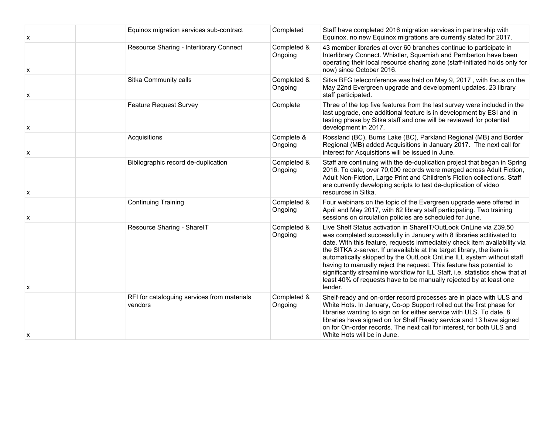| X | Equinox migration services sub-contract                | Completed              | Staff have completed 2016 migration services in partnership with<br>Equinox, no new Equinox migrations are currently slated for 2017.                                                                                                                                                                                                                                                                                                                                                                                                                                                                              |
|---|--------------------------------------------------------|------------------------|--------------------------------------------------------------------------------------------------------------------------------------------------------------------------------------------------------------------------------------------------------------------------------------------------------------------------------------------------------------------------------------------------------------------------------------------------------------------------------------------------------------------------------------------------------------------------------------------------------------------|
| X | Resource Sharing - Interlibrary Connect                | Completed &<br>Ongoing | 43 member libraries at over 60 branches continue to participate in<br>Interlibrary Connect. Whistler, Squamish and Pemberton have been<br>operating their local resource sharing zone (staff-initiated holds only for<br>now) since October 2016.                                                                                                                                                                                                                                                                                                                                                                  |
| X | Sitka Community calls                                  | Completed &<br>Ongoing | Sitka BFG teleconference was held on May 9, 2017, with focus on the<br>May 22nd Evergreen upgrade and development updates. 23 library<br>staff participated.                                                                                                                                                                                                                                                                                                                                                                                                                                                       |
| х | <b>Feature Request Survey</b>                          | Complete               | Three of the top five features from the last survey were included in the<br>last upgrade, one additional feature is in development by ESI and in<br>testing phase by Sitka staff and one will be reviewed for potential<br>development in 2017.                                                                                                                                                                                                                                                                                                                                                                    |
| x | Acquisitions                                           | Complete &<br>Ongoing  | Rossland (BC), Burns Lake (BC), Parkland Regional (MB) and Border<br>Regional (MB) added Acquisitions in January 2017. The next call for<br>interest for Acquisitions will be issued in June.                                                                                                                                                                                                                                                                                                                                                                                                                      |
| x | Bibliographic record de-duplication                    | Completed &<br>Ongoing | Staff are continuing with the de-duplication project that began in Spring<br>2016. To date, over 70,000 records were merged across Adult Fiction,<br>Adult Non-Fiction, Large Print and Children's Fiction collections. Staff<br>are currently developing scripts to test de-duplication of video<br>resources in Sitka.                                                                                                                                                                                                                                                                                           |
| x | <b>Continuing Training</b>                             | Completed &<br>Ongoing | Four webinars on the topic of the Evergreen upgrade were offered in<br>April and May 2017, with 62 library staff participating. Two training<br>sessions on circulation policies are scheduled for June.                                                                                                                                                                                                                                                                                                                                                                                                           |
| x | Resource Sharing - SharelT                             | Completed &<br>Ongoing | Live Shelf Status activation in SharelT/OutLook OnLine via Z39.50<br>was completed successfully in January with 8 libraries actitivated to<br>date. With this feature, requests immediately check item availability via<br>the SITKA z-server. If unavailable at the target library, the item is<br>automatically skipped by the OutLook OnLine ILL system without staff<br>having to manually reject the request. This feature has potential to<br>significantly streamline workflow for ILL Staff, i.e. statistics show that at<br>least 40% of requests have to be manually rejected by at least one<br>lender. |
| x | RFI for cataloguing services from materials<br>vendors | Completed &<br>Ongoing | Shelf-ready and on-order record processes are in place with ULS and<br>White Hots. In January, Co-op Support rolled out the first phase for<br>libraries wanting to sign on for either service with ULS. To date, 8<br>libraries have signed on for Shelf Ready service and 13 have signed<br>on for On-order records. The next call for interest, for both ULS and<br>White Hots will be in June.                                                                                                                                                                                                                 |